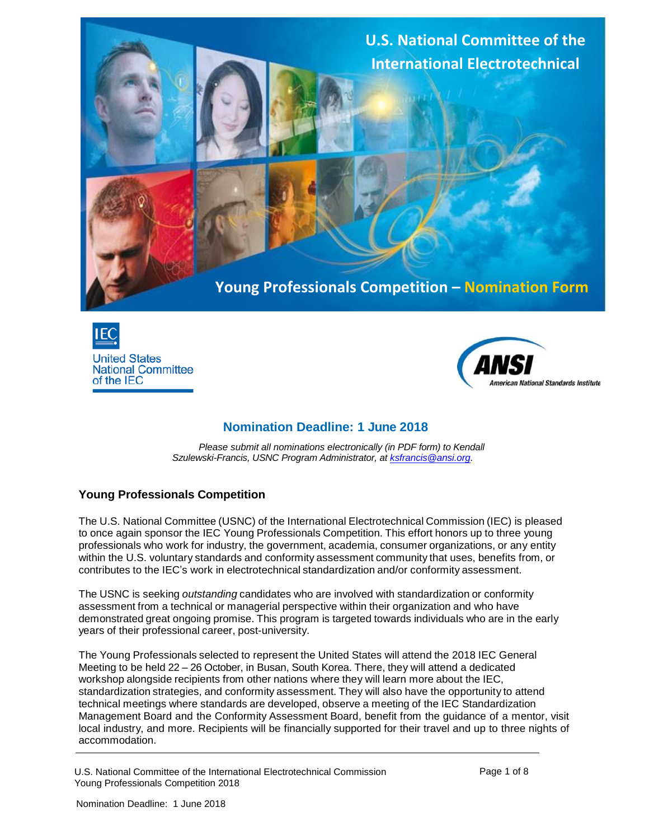

**Young Professionals Competition – Nomination Form**





# **Nomination Deadline: 1 June 2018**

*Please submit all nominations electronically (in PDF form) to Kendall Szulewski-Francis, USNC Program Administrator, at [ksfrancis@ansi.org.](mailto:ksfrancis@ansi.org)*

### **Young Professionals Competition**

The U.S. National Committee (USNC) of the International Electrotechnical Commission (IEC) is pleased to once again sponsor the IEC Young Professionals Competition. This effort honors up to three young professionals who work for industry, the government, academia, consumer organizations, or any entity within the U.S. voluntary standards and conformity assessment community that uses, benefits from, or contributes to the IEC's work in electrotechnical standardization and/or conformity assessment.

The USNC is seeking *outstanding* candidates who are involved with standardization or conformity assessment from a technical or managerial perspective within their organization and who have demonstrated great ongoing promise. This program is targeted towards individuals who are in the early years of their professional career, post-university.

The Young Professionals selected to represent the United States will attend the 2018 IEC General Meeting to be held 22 – 26 October, in Busan, South Korea. There, they will attend a dedicated workshop alongside recipients from other nations where they will learn more about the IEC, standardization strategies, and conformity assessment. They will also have the opportunity to attend technical meetings where standards are developed, observe a meeting of the IEC Standardization Management Board and the Conformity Assessment Board, benefit from the guidance of a mentor, visit local industry, and more. Recipients will be financially supported for their travel and up to three nights of accommodation.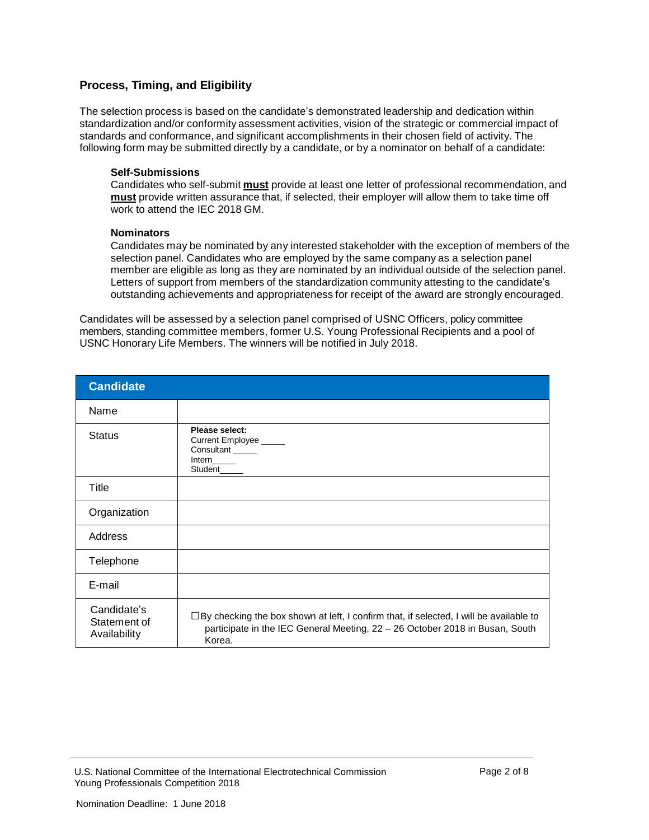## **Process, Timing, and Eligibility**

The selection process is based on the candidate's demonstrated leadership and dedication within standardization and/or conformity assessment activities, vision of the strategic or commercial impact of standards and conformance, and significant accomplishments in their chosen field of activity. The following form may be submitted directly by a candidate, or by a nominator on behalf of a candidate:

#### **Self-Submissions**

Candidates who self-submit **must** provide at least one letter of professional recommendation, and **must** provide written assurance that, if selected, their employer will allow them to take time off work to attend the IEC 2018 GM.

#### **Nominators**

Candidates may be nominated by any interested stakeholder with the exception of members of the selection panel. Candidates who are employed by the same company as a selection panel member are eligible as long as they are nominated by an individual outside of the selection panel. Letters of support from members of the standardization community attesting to the candidate's outstanding achievements and appropriateness for receipt of the award are strongly encouraged.

Candidates will be assessed by a selection panel comprised of USNC Officers, policy committee members, standing committee members, former U.S. Young Professional Recipients and a pool of USNC Honorary Life Members. The winners will be notified in July 2018.

| <b>Candidate</b>                            |                                                                                                                                                                                         |
|---------------------------------------------|-----------------------------------------------------------------------------------------------------------------------------------------------------------------------------------------|
| Name                                        |                                                                                                                                                                                         |
| <b>Status</b>                               | Please select:<br>Current Employee _____<br>Consultant _____<br>Intern_____<br>Student                                                                                                  |
| Title                                       |                                                                                                                                                                                         |
| Organization                                |                                                                                                                                                                                         |
| Address                                     |                                                                                                                                                                                         |
| Telephone                                   |                                                                                                                                                                                         |
| E-mail                                      |                                                                                                                                                                                         |
| Candidate's<br>Statement of<br>Availability | $\Box$ By checking the box shown at left, I confirm that, if selected, I will be available to<br>participate in the IEC General Meeting, 22 - 26 October 2018 in Busan, South<br>Korea. |

U.S. National Committee of the International Electrotechnical Commission Young Professionals Competition 2018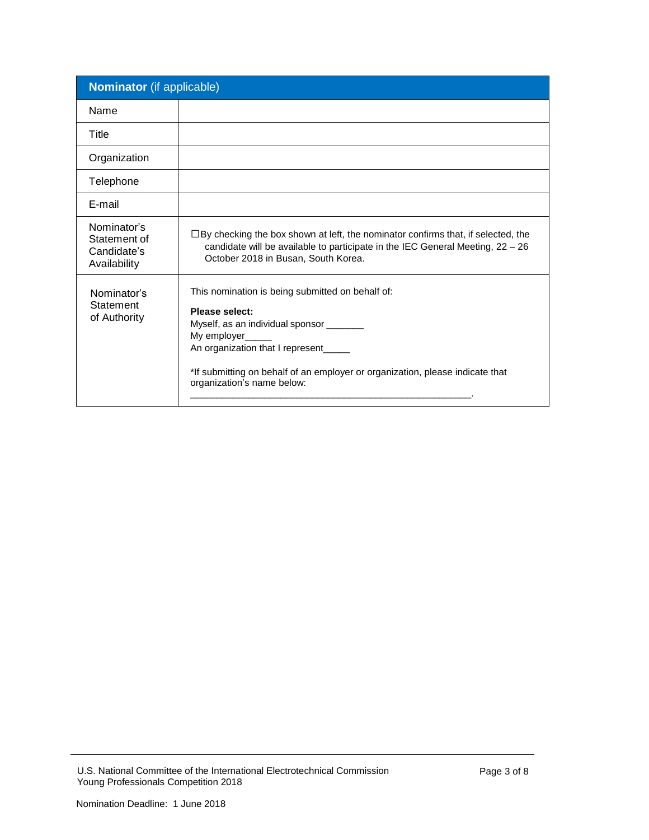| <b>Nominator</b> (if applicable)                           |                                                                                                                                                                                                                                                                                                  |
|------------------------------------------------------------|--------------------------------------------------------------------------------------------------------------------------------------------------------------------------------------------------------------------------------------------------------------------------------------------------|
| Name                                                       |                                                                                                                                                                                                                                                                                                  |
| Title                                                      |                                                                                                                                                                                                                                                                                                  |
| Organization                                               |                                                                                                                                                                                                                                                                                                  |
| Telephone                                                  |                                                                                                                                                                                                                                                                                                  |
| E-mail                                                     |                                                                                                                                                                                                                                                                                                  |
| Nominator's<br>Statement of<br>Candidate's<br>Availability | $\Box$ By checking the box shown at left, the nominator confirms that, if selected, the<br>candidate will be available to participate in the IEC General Meeting, 22 - 26<br>October 2018 in Busan, South Korea.                                                                                 |
| Nominator's<br>Statement<br>of Authority                   | This nomination is being submitted on behalf of:<br><b>Please select:</b><br>Myself, as an individual sponsor _______<br>My employer_____<br>An organization that I represent____<br>*If submitting on behalf of an employer or organization, please indicate that<br>organization's name below: |

U.S. National Committee of the International Electrotechnical Commission Young Professionals Competition 2018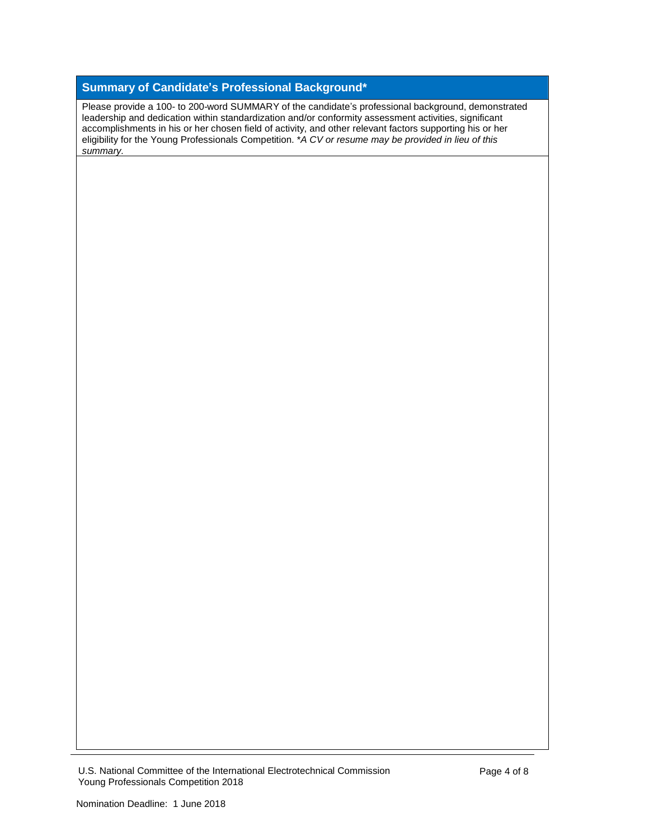## **Summary of Candidate's Professional Background\***

Please provide a 100- to 200-word SUMMARY of the candidate's professional background, demonstrated leadership and dedication within standardization and/or conformity assessment activities, significant accomplishments in his or her chosen field of activity, and other relevant factors supporting his or her eligibility for the Young Professionals Competition. \**A CV or resume may be provided in lieu of this summary.*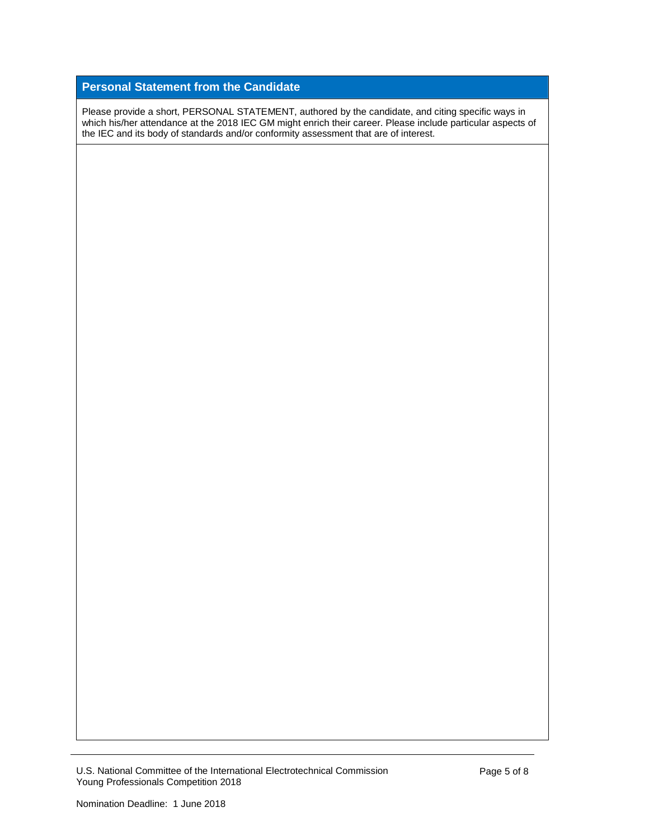## **Personal Statement from the Candidate**

Please provide a short, PERSONAL STATEMENT, authored by the candidate, and citing specific ways in which his/her attendance at the 2018 IEC GM might enrich their career. Please include particular aspects of the IEC and its body of standards and/or conformity assessment that are of interest.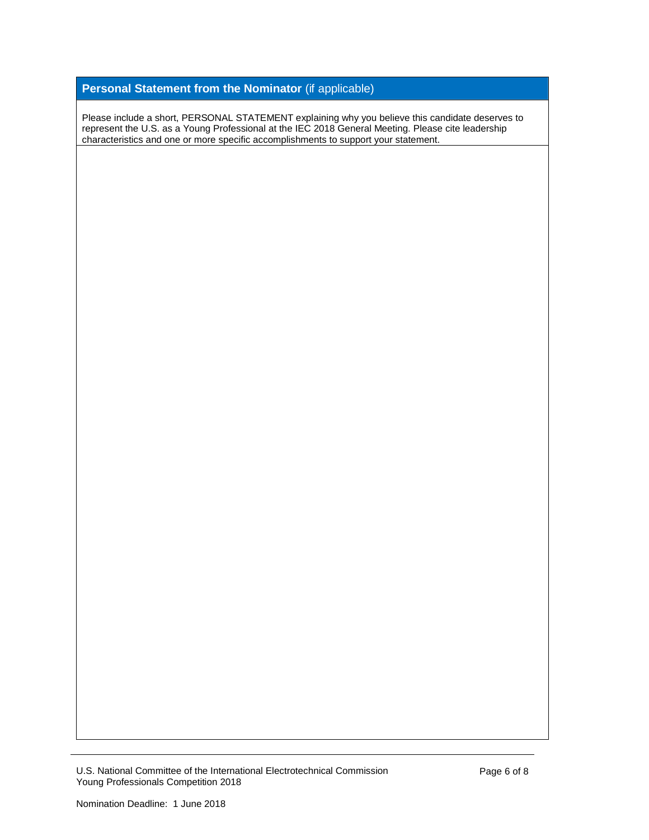# **Personal Statement from the Nominator** (if applicable)

Please include a short, PERSONAL STATEMENT explaining why you believe this candidate deserves to represent the U.S. as a Young Professional at the IEC 2018 General Meeting. Please cite leadership characteristics and one or more specific accomplishments to support your statement.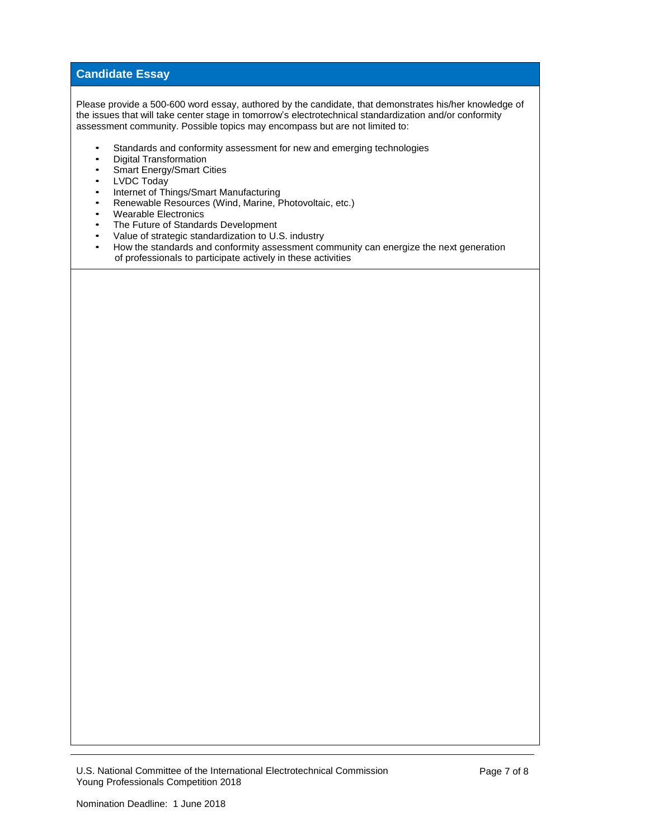### **Candidate Essay**

Please provide a 500-600 word essay, authored by the candidate, that demonstrates his/her knowledge of the issues that will take center stage in tomorrow's electrotechnical standardization and/or conformity assessment community. Possible topics may encompass but are not limited to:

- Standards and conformity assessment for new and emerging technologies
- Digital Transformation<br>• Smart Energy/Smart C
- Smart Energy/Smart Cities<br>• IVDC Today
- LVDC Today<br>• Internet of The
- Internet of Things/Smart Manufacturing<br>• Renewable Resources (Wind Marine, P
- Renewable Resources (Wind, Marine, Photovoltaic, etc.)<br>• Wearable Flectronics
- Wearable Electronics<br>• The Future of Standar
- The Future of Standards Development<br>• Value of strategic standardization to U.
- Value of strategic standardization to U.S. industry<br>• How the standards and conformity assessment core
- How the standards and conformity assessment community can energize the next generation of professionals to participate actively in these activities